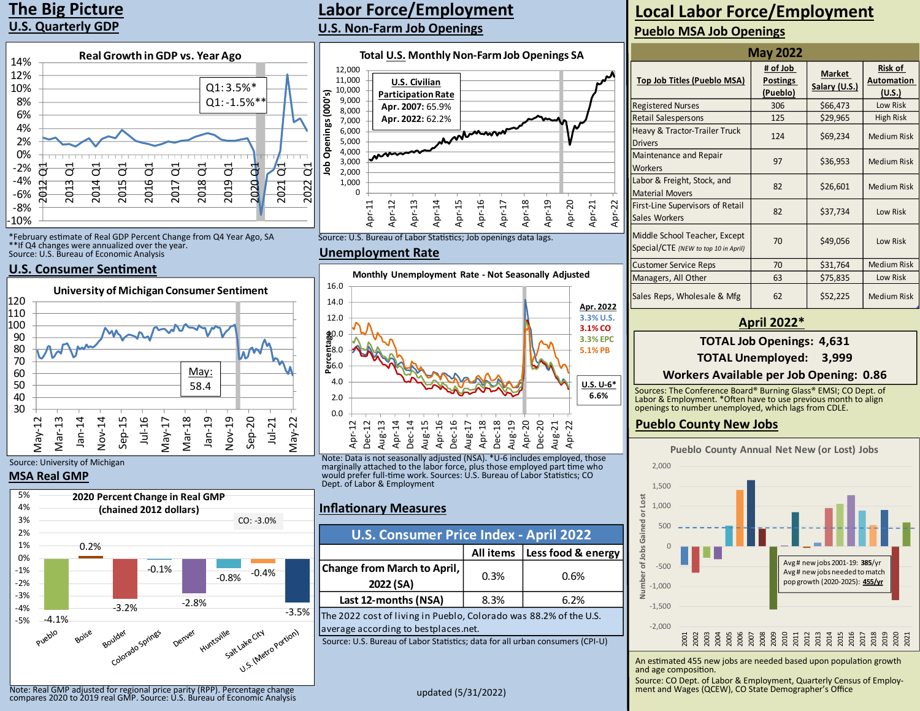# **The Big Picture U.S. Quarterly GDP**



\*February estimate of Real GDP Percent Change from Q4 Year Ago, SA \*\*If Q4 changes were annualized over the year. Source: U.S. Bureau of Economic Analysis

#### **U.S. Consumer Sentiment**



#### Source: University of Michigan

**MSA Real GMP**

#### 5% **2020 Percent Change in Real GMP**  4% **(chained 2012 dollars)** 3% 2% 1% 0.2% 0% -0.1% -1% -0.8% -0.4% -2% -3% -2.8% -4% -3.2% -3.5% -4.1% -4⊷ 5%۔<br>مپ U.S. (Metroportion) salt Lake City colorado springs Boulder Denver

# **Labor Force/Employment**

# **U.S. Non-Farm Job Openings**



Source: U.S. Bureau of Labor Statistics; Job openings data lags.

#### **Unemployment Rate**



Note: Data is not seasonally adjusted (NSA). \*U-6 includes employed, those marginally attached to the labor force, plus those employed part time who would prefer full-time work. Sources: U.S. Bureau of Labor Statistics; CO Dept. of Labor & Employment

## **Inflationary Measures**

| U.S. Consumer Price Index - April 2022                            |                  |                    |  |  |  |
|-------------------------------------------------------------------|------------------|--------------------|--|--|--|
|                                                                   | <b>All items</b> | Less food & energy |  |  |  |
| Change from March to April,                                       | 0.3%             | 0.6%               |  |  |  |
| 2022 (SA)                                                         |                  |                    |  |  |  |
| Last 12-months (NSA)                                              | 8.3%             | 6.2%               |  |  |  |
| The 2022 cost of living in Pueblo, Colorado was 88.2% of the U.S. |                  |                    |  |  |  |

The 2022 cost of living in Pueblo, Colorado was 88.2% of the U.S. average according to bestplaces.net.

Source: U.S. Bureau of Labor Statistics; data for all urban consumers (CPI-U)

# updated (5/31/2022)

# **Local Labor Force/Employment**

### **Pueblo MSA Job Openings**

|  | <b>May 2022</b>                                                       |                                  |                                |                                 |  |  |
|--|-----------------------------------------------------------------------|----------------------------------|--------------------------------|---------------------------------|--|--|
|  | Top Job Titles (Pueblo MSA)                                           | # of Job<br>Postings<br>(Pueblo) | <b>Market</b><br>Salary (U.S.) | Risk of<br>Automation<br>(U.S.) |  |  |
|  | <b>Registered Nurses</b>                                              | 306                              | \$66,473                       | Low Risk                        |  |  |
|  | <b>Retail Salespersons</b>                                            | 125                              | \$29,965                       | High Risk                       |  |  |
|  | Heavy & Tractor-Trailer Truck<br><b>Drivers</b>                       | 124                              | \$69,234                       | Medium Risk                     |  |  |
|  | Maintenance and Repair<br><b>Workers</b>                              | 97                               | \$36,953                       | Medium Risk                     |  |  |
|  | Labor & Freight, Stock, and<br><b>Material Movers</b>                 | 82                               | \$26,601                       | Medium Risk                     |  |  |
|  | First-Line Supervisors of Retail<br>Sales Workers                     | 82                               | \$37,734                       | Low Risk                        |  |  |
|  | Middle School Teacher, Except<br>Special/CTE (NEW to top 10 in April) | 70                               | \$49,056                       | Low Risk                        |  |  |
|  | <b>Customer Service Reps</b>                                          | 70                               | \$31,764                       | Medium Risk                     |  |  |
|  | Managers, All Other                                                   | 63                               | \$75,835                       | Low Risk                        |  |  |
|  | Sales Reps, Wholesale & Mfg                                           | 62                               | \$52,225                       | Medium Risk                     |  |  |

#### **April 2022\***

#### **TOTAL Job Openings: 4,631**

**TOTAL Unemployed: 3,999**

#### **Workers Available per Job Opening: 0.86**

Sources: The Conference Board® Burning Glass® EMSI; CO Dept. of Labor & Employment. \*Often have to use previous month to align openings to number unemployed, which lags from CDLE.

#### **Pueblo County New Jobs**



An estimated 455 new jobs are needed based upon population growth and age composition.

Source: CO Dept. of Labor & Employment, Quarterly Census of Employment and Wages (QCEW), CO State Demographer's Office

Note: Real GMP adjusted for regional price parity (RPP). Percentage change compares 2020 to 2019 real GMP. Source: U.S. Bureau of Economic Analysis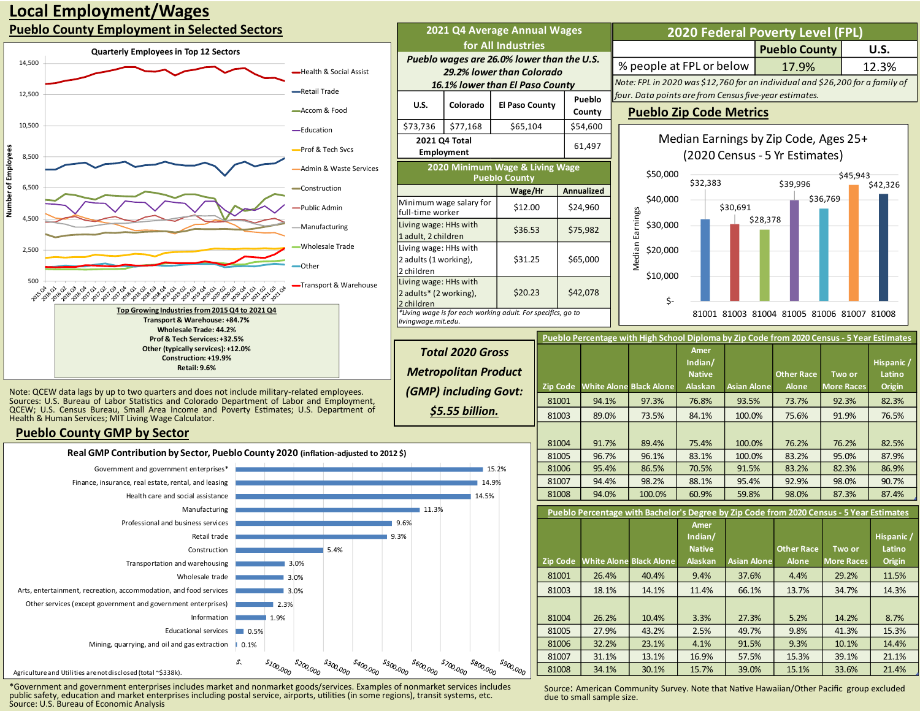# **Local Employment/Wages Pueblo County Employment in Selected Sectors**



| 2021 Q4 Average Annual Wages                                                                               |                                             |                |                   |  |  |  |  |
|------------------------------------------------------------------------------------------------------------|---------------------------------------------|----------------|-------------------|--|--|--|--|
|                                                                                                            | for All Industries                          |                |                   |  |  |  |  |
| Pueblo wages are 26.0% lower than the U.S.<br>29.2% lower than Colorado<br>16.1% lower than El Paso County |                                             |                |                   |  |  |  |  |
| U.S.                                                                                                       | Colorado                                    | El Paso County | Pueblo<br>County  |  |  |  |  |
| \$73,736                                                                                                   | \$77,168                                    | \$65,104       | \$54,600          |  |  |  |  |
|                                                                                                            | 2021 Q4 Total<br><b>Employment</b>          |                |                   |  |  |  |  |
| 2020 Minimum Wage & Living Wage<br><b>Pueblo County</b>                                                    |                                             |                |                   |  |  |  |  |
|                                                                                                            |                                             |                | <b>Annualized</b> |  |  |  |  |
|                                                                                                            | Minimum wage salary for<br>full-time worker |                | \$24,960          |  |  |  |  |
| Living wage: HHs with<br>1 adult, 2 children                                                               |                                             | \$36.53        | \$75,982          |  |  |  |  |
| Living wage: HHs with<br>2 adults (1 working),<br>2 children                                               |                                             | \$31.25        | \$65,000          |  |  |  |  |
| Living wage: HHs with<br>2 adults* (2 working),<br>2 children                                              |                                             | \$20.23        | \$42,078          |  |  |  |  |
| *Living wage is for each working adult. For specifics, go to<br>livingwage.mit.edu.                        |                                             |                |                   |  |  |  |  |

# **Pueblo County U.S.** % people at FPL or below  $\vert$  17.9% 12.3% **2020 Federal Poverty Level (FPL)** *Note: FPL in 2020 was \$12,760 for an individual and \$26,200 for a family of four. Data points are from Census five-year estimates.*

#### **Pueblo Zip Code Metrics**





**Hispanic / Latino Origin**

**Zip Code White Alone Black Alone Amer Indian/ Native Alaskan Asian Alone Other Race Alone Two or More Races** 81001 | 94.1% | 97.3% | 76.8% | 93.5% | 73.7% | 92.3% | 82.3% 81003 I 89.0% I 73.5% I 84.1% I 100.0% I 75.6% I 91.9% I 76.5% 81004 I 91.7% I 89.4% I 75.4% I 100.0% I 76.2% I 76.2% I 82.5% 81005 | 96.7% | 96.1% | 83.1% | 100.0% | 83.2% | 95.0% | 87.9% 81006 | 95.4% | 86.5% | 70.5% | 91.5% | 83.2% | 82.3% | 86.9% **Pueblo Percentage with High School Diploma by Zip Code from 2020 Census - 5 Year Estimates** *Total 2020 Gross Metropolitan Product (GMP) including Govt: \$5.55 billion.* 15.2%

Earnings

Median

Note: QCEW data lags by up to two quarters and does not include military-related employees. Sources: U.S. Bureau of Labor Statistics and Colorado Department of Labor and Employment, QCEW; U.S. Census Bureau, Small Area Income and Poverty Estimates; U.S. Department of Health & Human Services; MIT Living Wage Calculator.

## **Pueblo County GMP by Sector**



Agriculture and Utilities are not disclosed (total ~\$338k).

\*Government and government enterprises includes market and nonmarket goods/services. Examples of nonmarket services includes public safety, education and market enterprises including postal service, airports, utilities (in some regions), transit systems, etc. Source: U.S. Bureau of Economic Analysis

81008 94.0% 100.0% 60.9% 59.8% 98.0% 87.3% 87.4% **Pueblo Percentage with Bachelor's Degree by Zip Code from 2020 Census - 5 Year Estimates**

81007 | 94.4% | 98.2% | 88.1% | 95.4% | 92.9% | 98.0% | 90.7%

| <b>Zip Code</b> | White Alone Black Alone |       | <b>Amer</b><br>Indian/<br><b>Native</b><br><b>Alaskan</b> | <b>Asian Alone</b> | <b>Other Race</b><br><b>Alone</b> | Two or<br><b>More Races</b> | Hispanic /<br>Latino<br>Origin |
|-----------------|-------------------------|-------|-----------------------------------------------------------|--------------------|-----------------------------------|-----------------------------|--------------------------------|
| 81001           | 26.4%                   | 40.4% | 9.4%                                                      | 37.6%              | 4.4%                              | 29.2%                       | 11.5%                          |
| 81003           | 18.1%                   | 14.1% | 11.4%                                                     | 66.1%              | 13.7%                             | 34.7%                       | 14.3%                          |
|                 |                         |       |                                                           |                    |                                   |                             |                                |
| 81004           | 26.2%                   | 10.4% | 3.3%                                                      | 27.3%              | 5.2%                              | 14.2%                       | 8.7%                           |
| 81005           | 27.9%                   | 43.2% | 2.5%                                                      | 49.7%              | 9.8%                              | 41.3%                       | 15.3%                          |
| 81006           | 32.2%                   | 23.1% | 4.1%                                                      | 91.5%              | 9.3%                              | 10.1%                       | 14.4%                          |
| 81007           | 31.1%                   | 13.1% | 16.9%                                                     | 57.5%              | 15.3%                             | 39.1%                       | 21.1%                          |
| 81008           | 34.1%                   | 30.1% | 15.7%                                                     | 39.0%              | 15.1%                             | 33.6%                       | 21.4%                          |

Source: American Community Survey. Note that Native Hawaiian/Other Pacific group excluded due to small sample size.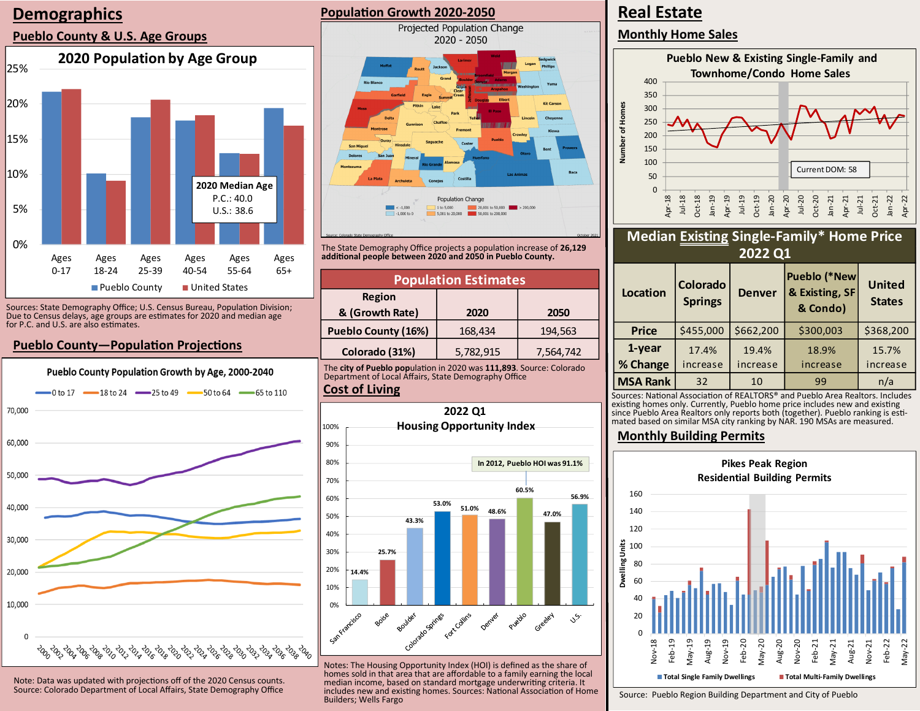# **Demographics**

## **Pueblo County & U.S. Age Groups**



Sources: State Demography Office; U.S. Census Bureau, Population Division; Due to Census delays, age groups are estimates for 2020 and median age for P.C. and U.S. are also estimates.

# **Pueblo County—Population Projections**



Note: Data was updated with projections off of the 2020 Census counts. Source: Colorado Department of Local Affairs, State Demography Office

## **Population Growth 2020-2050**

Projected Population Change 2020 - 2050



The State Demography Office projects a population increase of **26,129 additional people between 2020 and 2050 in Pueblo County.**

| <b>Population Estimates</b> |           |           |  |  |
|-----------------------------|-----------|-----------|--|--|
| <b>Region</b>               |           |           |  |  |
| & (Growth Rate)             | 2020      | 2050      |  |  |
| <b>Pueblo County (16%)</b>  | 168,434   | 194,563   |  |  |
| Colorado (31%)              | 5,782,915 | 7,564,742 |  |  |

The **city of Pueblo pop**ulation in 2020 was **111,893**. Source: Colorado Department of Local Affairs, State Demography Office

#### **Cost of Living**



Notes: The Housing Opportunity Index (HOI) is defined as the share of homes sold in that area that are affordable to a family earning the local median income, based on standard mortgage underwriting criteria. It includes new and existing homes. Sources: National Association of Home Builders; Wells Fargo

# **Real Estate**

**Monthly Home Sales**



# **Median Existing Single-Family\* Home Price 2022 Q1**

| <b>Location</b> | <b>Colorado</b><br><b>Springs</b> | <b>Denver</b> | <b>Pueblo (*New</b><br>& Existing, SF<br>& Condo) | <b>United</b><br><b>States</b> |
|-----------------|-----------------------------------|---------------|---------------------------------------------------|--------------------------------|
| <b>Price</b>    | \$455,000                         | \$662,200     | \$300,003                                         | \$368,200                      |
| 1-year          | 17.4%                             | 19.4%         | 18.9%                                             | 15.7%                          |
| % Change        | increase                          | increase      | increase                                          | increase                       |
| <b>MSA Rank</b> | 32                                | 10            | 99                                                | n/a                            |

Sources: National Association of REALTORS® and Pueblo Area Realtors. Includes existing homes only. Currently, Pueblo home price includes new and existing since Pueblo Area Realtors only reports both (together). Pueblo ranking is estimated based on similar MSA city ranking by NAR. 190 MSAs are measured.

## **Monthly Building Permits**



Source: Pueblo Region Building Department and City of Pueblo